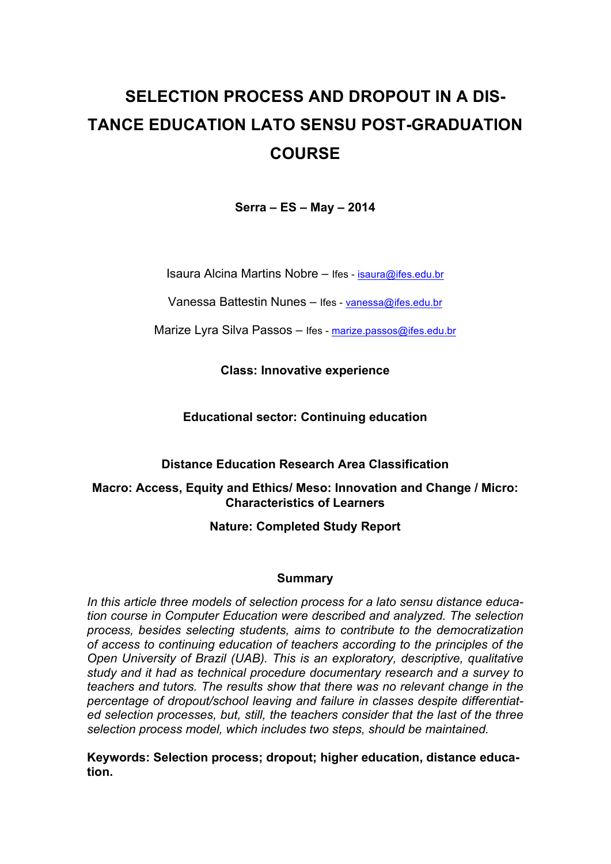# **SELECTION PROCESS AND DROPOUT IN A DIS-TANCE EDUCATION LATO SENSU POST-GRADUATION COURSE**

**Serra – ES – May – 2014**

Isaura Alcina Martins Nobre – Ifes - isaura@ifes.edu.br

Vanessa Battestin Nunes – Ifes - vanessa@ifes.edu.br

Marize Lyra Silva Passos – Ifes - marize.passos@ifes.edu.br

**Class: Innovative experience**

**Educational sector: Continuing education**

**Distance Education Research Area Classification**

## **Macro: Access, Equity and Ethics/ Meso: Innovation and Change / Micro: Characteristics of Learners**

# **Nature: Completed Study Report**

## **Summary**

*In this article three models of selection process for a lato sensu distance education course in Computer Education were described and analyzed. The selection process, besides selecting students, aims to contribute to the democratization of access to continuing education of teachers according to the principles of the Open University of Brazil (UAB). This is an exploratory, descriptive, qualitative study and it had as technical procedure documentary research and a survey to teachers and tutors. The results show that there was no relevant change in the percentage of dropout/school leaving and failure in classes despite differentiated selection processes, but, still, the teachers consider that the last of the three selection process model, which includes two steps, should be maintained.*

**Keywords: Selection process; dropout; higher education, distance education.**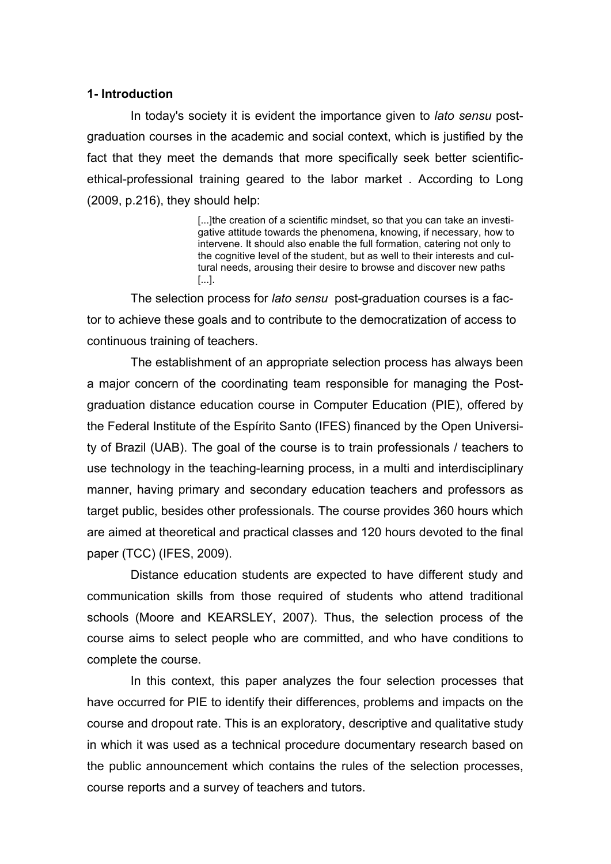#### **1- Introduction**

In today's society it is evident the importance given to *lato sensu* postgraduation courses in the academic and social context, which is justified by the fact that they meet the demands that more specifically seek better scientificethical-professional training geared to the labor market . According to Long (2009, p.216), they should help:

> [...]the creation of a scientific mindset, so that you can take an investigative attitude towards the phenomena, knowing, if necessary, how to intervene. It should also enable the full formation, catering not only to the cognitive level of the student, but as well to their interests and cultural needs, arousing their desire to browse and discover new paths [...].

The selection process for *lato sensu* post-graduation courses is a factor to achieve these goals and to contribute to the democratization of access to continuous training of teachers.

The establishment of an appropriate selection process has always been a major concern of the coordinating team responsible for managing the Postgraduation distance education course in Computer Education (PIE), offered by the Federal Institute of the Espírito Santo (IFES) financed by the Open University of Brazil (UAB). The goal of the course is to train professionals / teachers to use technology in the teaching-learning process, in a multi and interdisciplinary manner, having primary and secondary education teachers and professors as target public, besides other professionals. The course provides 360 hours which are aimed at theoretical and practical classes and 120 hours devoted to the final paper (TCC) (IFES, 2009).

Distance education students are expected to have different study and communication skills from those required of students who attend traditional schools (Moore and KEARSLEY, 2007). Thus, the selection process of the course aims to select people who are committed, and who have conditions to complete the course.

In this context, this paper analyzes the four selection processes that have occurred for PIE to identify their differences, problems and impacts on the course and dropout rate. This is an exploratory, descriptive and qualitative study in which it was used as a technical procedure documentary research based on the public announcement which contains the rules of the selection processes, course reports and a survey of teachers and tutors.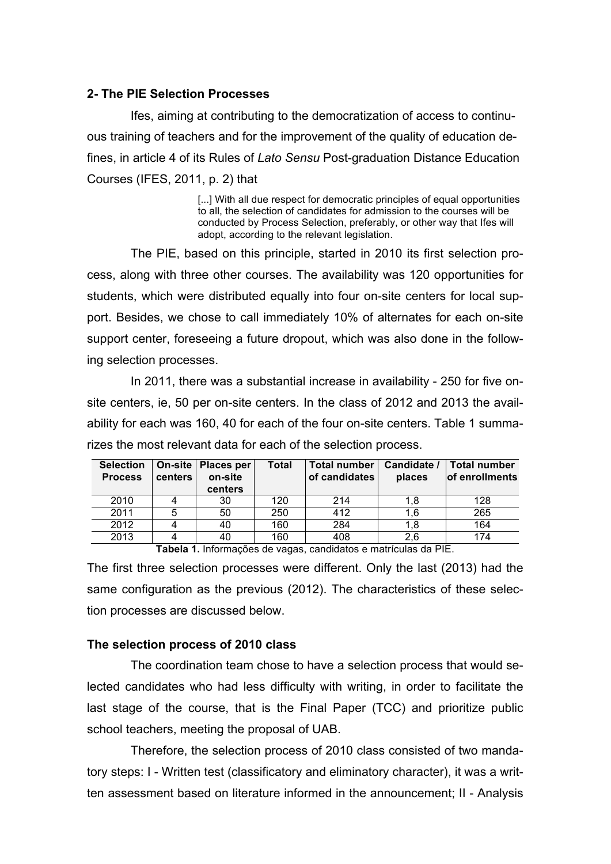### **2- The PIE Selection Processes**

Ifes, aiming at contributing to the democratization of access to continuous training of teachers and for the improvement of the quality of education defines, in article 4 of its Rules of *Lato Sensu* Post-graduation Distance Education Courses (IFES, 2011, p. 2) that

> [...] With all due respect for democratic principles of equal opportunities to all, the selection of candidates for admission to the courses will be conducted by Process Selection, preferably, or other way that Ifes will adopt, according to the relevant legislation.

The PIE, based on this principle, started in 2010 its first selection process, along with three other courses. The availability was 120 opportunities for students, which were distributed equally into four on-site centers for local support. Besides, we chose to call immediately 10% of alternates for each on-site support center, foreseeing a future dropout, which was also done in the following selection processes.

In 2011, there was a substantial increase in availability - 250 for five onsite centers, ie, 50 per on-site centers. In the class of 2012 and 2013 the availability for each was 160, 40 for each of the four on-site centers. Table 1 summarizes the most relevant data for each of the selection process.

| <b>Selection</b><br><b>Process</b> | On-site<br><b>centers</b> | Places per<br>on-site<br>centers | <b>Total</b> | <b>Total number</b><br>of candidates | Candidate /<br>places | <b>Total number</b><br><b>of enrollments</b> |
|------------------------------------|---------------------------|----------------------------------|--------------|--------------------------------------|-----------------------|----------------------------------------------|
| 2010                               | 4                         | 30                               | 120          | 214                                  | 1.8                   | 128                                          |
| 2011                               | 5                         | 50                               | 250          | 412                                  | 1,6                   | 265                                          |
| 2012                               | 4                         | 40                               | 160          | 284                                  | 1,8                   | 164                                          |
| 2013                               | 4                         | 40                               | 160          | 408                                  | 2,6                   | 174                                          |

**Tabela 1.** Informações de vagas, candidatos e matrículas da PIE.

The first three selection processes were different. Only the last (2013) had the same configuration as the previous (2012). The characteristics of these selection processes are discussed below.

#### **The selection process of 2010 class**

The coordination team chose to have a selection process that would selected candidates who had less difficulty with writing, in order to facilitate the last stage of the course, that is the Final Paper (TCC) and prioritize public school teachers, meeting the proposal of UAB.

Therefore, the selection process of 2010 class consisted of two mandatory steps: I - Written test (classificatory and eliminatory character), it was a written assessment based on literature informed in the announcement; II - Analysis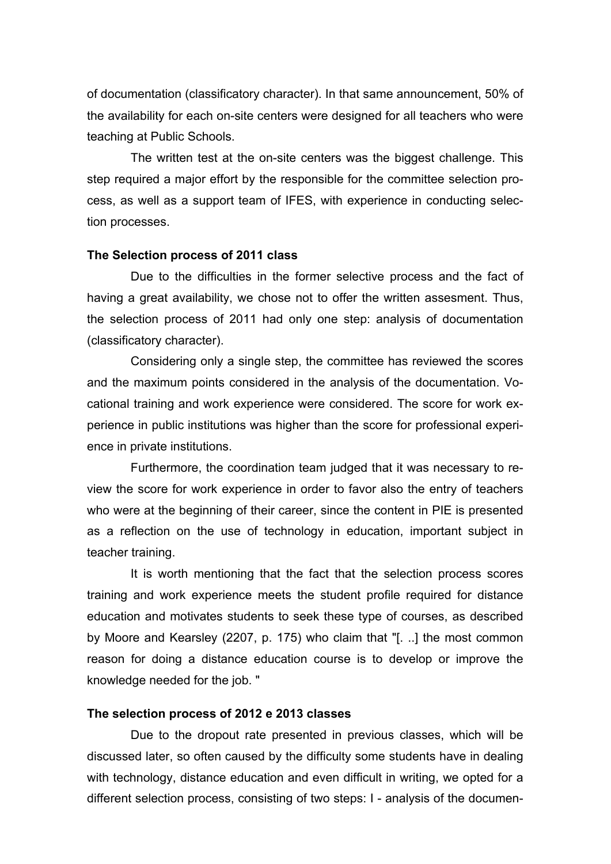of documentation (classificatory character). In that same announcement, 50% of the availability for each on-site centers were designed for all teachers who were teaching at Public Schools.

The written test at the on-site centers was the biggest challenge. This step required a major effort by the responsible for the committee selection process, as well as a support team of IFES, with experience in conducting selection processes.

#### **The Selection process of 2011 class**

Due to the difficulties in the former selective process and the fact of having a great availability, we chose not to offer the written assesment. Thus, the selection process of 2011 had only one step: analysis of documentation (classificatory character).

Considering only a single step, the committee has reviewed the scores and the maximum points considered in the analysis of the documentation. Vocational training and work experience were considered. The score for work experience in public institutions was higher than the score for professional experience in private institutions.

Furthermore, the coordination team judged that it was necessary to review the score for work experience in order to favor also the entry of teachers who were at the beginning of their career, since the content in PIE is presented as a reflection on the use of technology in education, important subject in teacher training.

It is worth mentioning that the fact that the selection process scores training and work experience meets the student profile required for distance education and motivates students to seek these type of courses, as described by Moore and Kearsley (2207, p. 175) who claim that "[. ..] the most common reason for doing a distance education course is to develop or improve the knowledge needed for the job. "

#### **The selection process of 2012 e 2013 classes**

Due to the dropout rate presented in previous classes, which will be discussed later, so often caused by the difficulty some students have in dealing with technology, distance education and even difficult in writing, we opted for a different selection process, consisting of two steps: I - analysis of the documen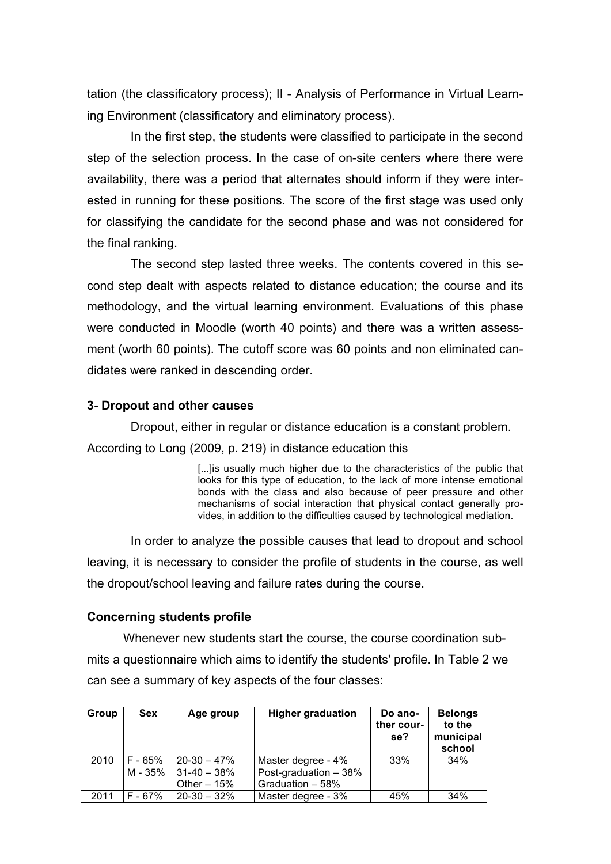tation (the classificatory process); II - Analysis of Performance in Virtual Learning Environment (classificatory and eliminatory process).

In the first step, the students were classified to participate in the second step of the selection process. In the case of on-site centers where there were availability, there was a period that alternates should inform if they were interested in running for these positions. The score of the first stage was used only for classifying the candidate for the second phase and was not considered for the final ranking.

The second step lasted three weeks. The contents covered in this second step dealt with aspects related to distance education; the course and its methodology, and the virtual learning environment. Evaluations of this phase were conducted in Moodle (worth 40 points) and there was a written assessment (worth 60 points). The cutoff score was 60 points and non eliminated candidates were ranked in descending order.

## **3- Dropout and other causes**

Dropout, either in regular or distance education is a constant problem. According to Long (2009, p. 219) in distance education this

> [...]is usually much higher due to the characteristics of the public that looks for this type of education, to the lack of more intense emotional bonds with the class and also because of peer pressure and other mechanisms of social interaction that physical contact generally provides, in addition to the difficulties caused by technological mediation.

In order to analyze the possible causes that lead to dropout and school leaving, it is necessary to consider the profile of students in the course, as well the dropout/school leaving and failure rates during the course.

#### **Concerning students profile**

Whenever new students start the course, the course coordination submits a questionnaire which aims to identify the students' profile. In Table 2 we can see a summary of key aspects of the four classes:

| Group | Sex       | Age group       | <b>Higher graduation</b> | Do ano-<br>ther cour-<br>se? | <b>Belongs</b><br>to the<br>municipal<br>school |
|-------|-----------|-----------------|--------------------------|------------------------------|-------------------------------------------------|
| 2010  | F - 65%   | $20 - 30 - 47%$ | Master degree - 4%       | 33%                          | 34%                                             |
|       | M - 35%   | $31-40-38%$     | Post-graduation - 38%    |                              |                                                 |
|       |           | Other $-15%$    | Graduation - 58%         |                              |                                                 |
| 2011  | $F - 67%$ | $20 - 30 - 32%$ | Master degree - 3%       | 45%                          | 34%                                             |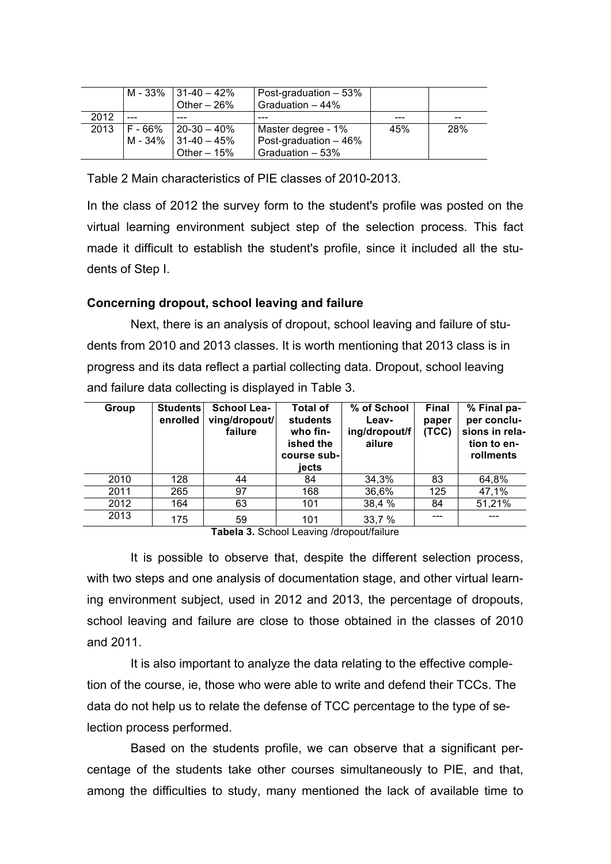|      |         | M - 33% $ 31-40-42%$<br>Other $-26%$ | Post-graduation $-53%$<br>Graduation - 44% |     |     |
|------|---------|--------------------------------------|--------------------------------------------|-----|-----|
| 2012 |         |                                      |                                            |     |     |
| 2013 | F - 66% | $120-30 - 40\%$                      | Master degree - 1%                         | 45% | 28% |
|      | M - 34% | $131-40 - 45%$                       | Post-graduation - 46%                      |     |     |
|      |         | Other $-15%$                         | Graduation - 53%                           |     |     |

Table 2 Main characteristics of PIE classes of 2010-2013.

In the class of 2012 the survey form to the student's profile was posted on the virtual learning environment subject step of the selection process. This fact made it difficult to establish the student's profile, since it included all the students of Step I.

## **Concerning dropout, school leaving and failure**

Next, there is an analysis of dropout, school leaving and failure of students from 2010 and 2013 classes. It is worth mentioning that 2013 class is in progress and its data reflect a partial collecting data. Dropout, school leaving and failure data collecting is displayed in Table 3.

| Group | <b>Students</b><br>enrolled | <b>School Lea-</b><br>ving/dropout/<br>failure | <b>Total of</b><br><b>students</b><br>who fin-<br>ished the<br>course sub-<br>iects | % of School<br>Leav-<br>ing/dropout/f<br>ailure | <b>Final</b><br>paper<br>(TCC) | % Final pa-<br>per conclu-<br>sions in rela-<br>tion to en-<br>rollments |
|-------|-----------------------------|------------------------------------------------|-------------------------------------------------------------------------------------|-------------------------------------------------|--------------------------------|--------------------------------------------------------------------------|
| 2010  | 128                         | 44                                             | 84                                                                                  | 34,3%                                           | 83                             | 64,8%                                                                    |
| 2011  | 265                         | 97                                             | 168                                                                                 | 36,6%                                           | 125                            | 47,1%                                                                    |
| 2012  | 164                         | 63                                             | 101                                                                                 | 38,4 %                                          | 84                             | 51,21%                                                                   |
| 2013  | 175                         | 59                                             | 101                                                                                 | 33,7 %                                          |                                |                                                                          |

**Tabela 3.** School Leaving /dropout/failure

It is possible to observe that, despite the different selection process, with two steps and one analysis of documentation stage, and other virtual learning environment subject, used in 2012 and 2013, the percentage of dropouts, school leaving and failure are close to those obtained in the classes of 2010 and 2011.

It is also important to analyze the data relating to the effective completion of the course, ie, those who were able to write and defend their TCCs. The data do not help us to relate the defense of TCC percentage to the type of selection process performed.

Based on the students profile, we can observe that a significant percentage of the students take other courses simultaneously to PIE, and that, among the difficulties to study, many mentioned the lack of available time to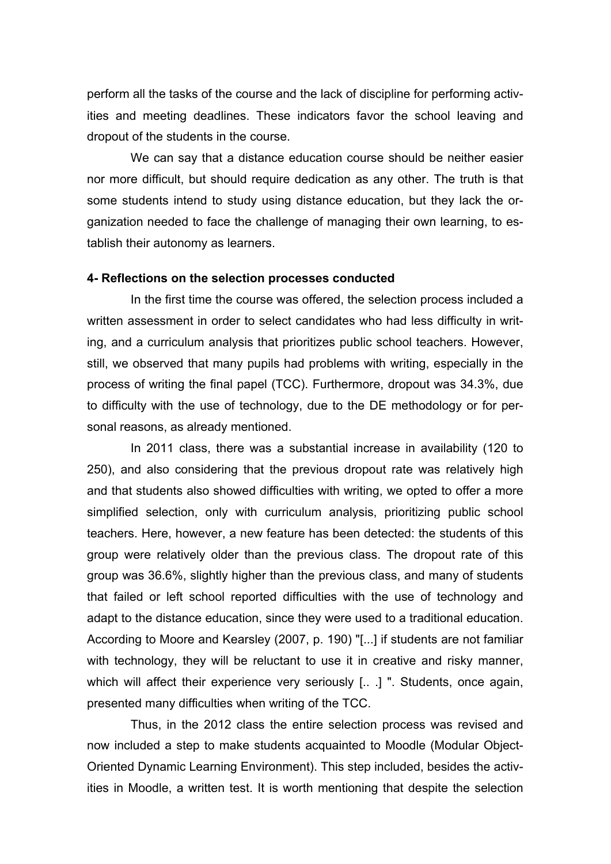perform all the tasks of the course and the lack of discipline for performing activities and meeting deadlines. These indicators favor the school leaving and dropout of the students in the course.

We can say that a distance education course should be neither easier nor more difficult, but should require dedication as any other. The truth is that some students intend to study using distance education, but they lack the organization needed to face the challenge of managing their own learning, to establish their autonomy as learners.

#### **4- Reflections on the selection processes conducted**

In the first time the course was offered, the selection process included a written assessment in order to select candidates who had less difficulty in writing, and a curriculum analysis that prioritizes public school teachers. However, still, we observed that many pupils had problems with writing, especially in the process of writing the final papel (TCC). Furthermore, dropout was 34.3%, due to difficulty with the use of technology, due to the DE methodology or for personal reasons, as already mentioned.

In 2011 class, there was a substantial increase in availability (120 to 250), and also considering that the previous dropout rate was relatively high and that students also showed difficulties with writing, we opted to offer a more simplified selection, only with curriculum analysis, prioritizing public school teachers. Here, however, a new feature has been detected: the students of this group were relatively older than the previous class. The dropout rate of this group was 36.6%, slightly higher than the previous class, and many of students that failed or left school reported difficulties with the use of technology and adapt to the distance education, since they were used to a traditional education. According to Moore and Kearsley (2007, p. 190) "[...] if students are not familiar with technology, they will be reluctant to use it in creative and risky manner, which will affect their experience very seriously [...] ". Students, once again, presented many difficulties when writing of the TCC.

Thus, in the 2012 class the entire selection process was revised and now included a step to make students acquainted to Moodle (Modular Object-Oriented Dynamic Learning Environment). This step included, besides the activities in Moodle, a written test. It is worth mentioning that despite the selection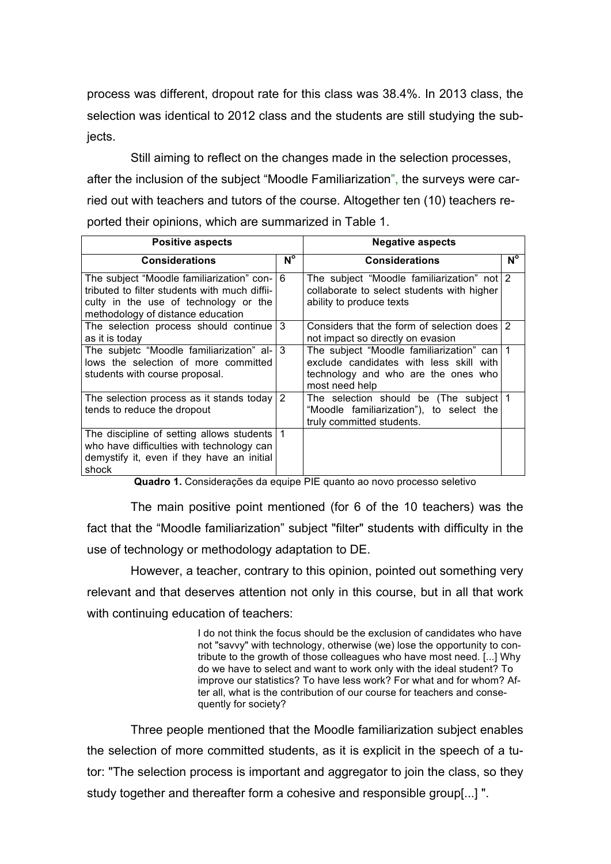process was different, dropout rate for this class was 38.4%. In 2013 class, the selection was identical to 2012 class and the students are still studying the subjects.

Still aiming to reflect on the changes made in the selection processes, after the inclusion of the subject "Moodle Familiarization", the surveys were carried out with teachers and tutors of the course. Altogether ten (10) teachers reported their opinions, which are summarized in Table 1.

| <b>Positive aspects</b>                                                                                                                                                    | <b>Negative aspects</b> |                                                                                                                                                  |             |
|----------------------------------------------------------------------------------------------------------------------------------------------------------------------------|-------------------------|--------------------------------------------------------------------------------------------------------------------------------------------------|-------------|
| <b>Considerations</b>                                                                                                                                                      | $N^{\circ}$             | <b>Considerations</b>                                                                                                                            | $N^{\circ}$ |
| The subject "Moodle familiarization" con- 6<br>tributed to filter students with much diffii-<br>culty in the use of technology or the<br>methodology of distance education |                         | The subject "Moodle familiarization" not 2<br>collaborate to select students with higher<br>ability to produce texts                             |             |
| The selection process should continue<br>as it is today                                                                                                                    | 3                       | Considers that the form of selection does 2<br>not impact so directly on evasion                                                                 |             |
| The subjetc "Moodle familiarization" al- $ 3 $<br>lows the selection of more committed<br>students with course proposal.                                                   |                         | The subject "Moodle familiarization" can   1<br>exclude candidates with less skill with<br>technology and who are the ones who<br>most need help |             |
| The selection process as it stands today<br>tends to reduce the dropout                                                                                                    | 2                       | The selection should be (The subject 1<br>"Moodle familiarization"), to select the<br>truly committed students.                                  |             |
| The discipline of setting allows students   1<br>who have difficulties with technology can<br>demystify it, even if they have an initial<br>shock                          |                         |                                                                                                                                                  |             |

**Quadro 1.** Considerações da equipe PIE quanto ao novo processo seletivo

The main positive point mentioned (for 6 of the 10 teachers) was the fact that the "Moodle familiarization" subject "filter" students with difficulty in the use of technology or methodology adaptation to DE.

However, a teacher, contrary to this opinion, pointed out something very relevant and that deserves attention not only in this course, but in all that work with continuing education of teachers:

> I do not think the focus should be the exclusion of candidates who have not "savvy" with technology, otherwise (we) lose the opportunity to contribute to the growth of those colleagues who have most need. [...] Why do we have to select and want to work only with the ideal student? To improve our statistics? To have less work? For what and for whom? After all, what is the contribution of our course for teachers and consequently for society?

Three people mentioned that the Moodle familiarization subject enables the selection of more committed students, as it is explicit in the speech of a tutor: "The selection process is important and aggregator to join the class, so they study together and thereafter form a cohesive and responsible group[...] ".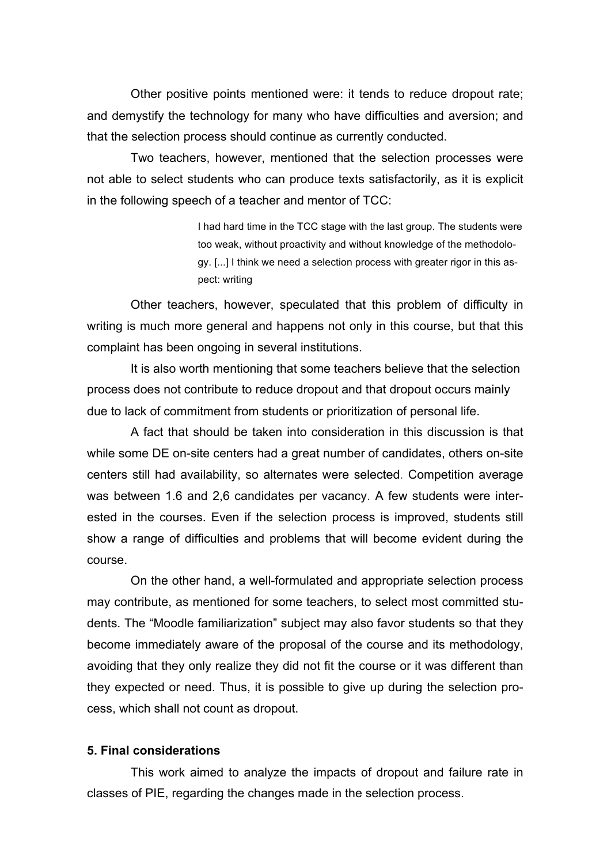Other positive points mentioned were: it tends to reduce dropout rate; and demystify the technology for many who have difficulties and aversion; and that the selection process should continue as currently conducted.

Two teachers, however, mentioned that the selection processes were not able to select students who can produce texts satisfactorily, as it is explicit in the following speech of a teacher and mentor of TCC:

> I had hard time in the TCC stage with the last group. The students were too weak, without proactivity and without knowledge of the methodology. [...] I think we need a selection process with greater rigor in this aspect: writing

Other teachers, however, speculated that this problem of difficulty in writing is much more general and happens not only in this course, but that this complaint has been ongoing in several institutions.

It is also worth mentioning that some teachers believe that the selection process does not contribute to reduce dropout and that dropout occurs mainly due to lack of commitment from students or prioritization of personal life.

A fact that should be taken into consideration in this discussion is that while some DE on-site centers had a great number of candidates, others on-site centers still had availability, so alternates were selected. Competition average was between 1.6 and 2,6 candidates per vacancy. A few students were interested in the courses. Even if the selection process is improved, students still show a range of difficulties and problems that will become evident during the course.

On the other hand, a well-formulated and appropriate selection process may contribute, as mentioned for some teachers, to select most committed students. The "Moodle familiarization" subject may also favor students so that they become immediately aware of the proposal of the course and its methodology, avoiding that they only realize they did not fit the course or it was different than they expected or need. Thus, it is possible to give up during the selection process, which shall not count as dropout.

#### **5. Final considerations**

This work aimed to analyze the impacts of dropout and failure rate in classes of PIE, regarding the changes made in the selection process.